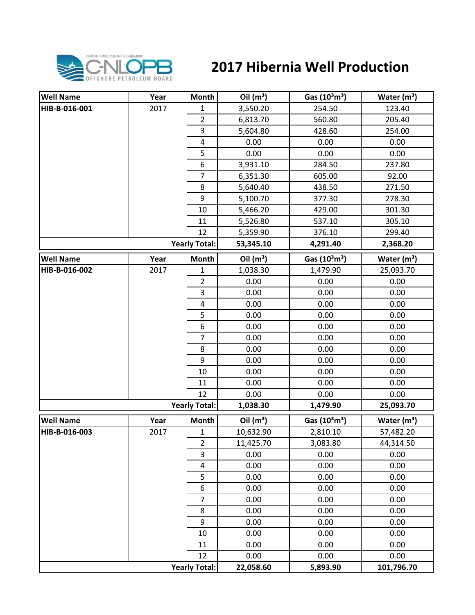

## **2017 Hibernia Well Production**

| <b>Well Name</b> | Year | <b>Month</b>            | Oil $(m^3)$ | Gas (10 <sup>3</sup> m <sup>3</sup> ) | Water $(m^3)$ |
|------------------|------|-------------------------|-------------|---------------------------------------|---------------|
| HIB-B-016-001    | 2017 | $\mathbf{1}$            | 3,550.20    | 254.50                                | 123.40        |
|                  |      | $\overline{2}$          | 6,813.70    | 560.80                                | 205.40        |
|                  |      | 3                       | 5,604.80    | 428.60                                | 254.00        |
|                  |      | $\overline{\mathbf{4}}$ | 0.00        | 0.00                                  | 0.00          |
|                  |      | 5                       | 0.00        | 0.00                                  | 0.00          |
|                  |      | 6                       | 3,931.10    | 284.50                                | 237.80        |
|                  |      | $\overline{7}$          | 6,351.30    | 605.00                                | 92.00         |
|                  |      | 8                       | 5,640.40    | 438.50                                | 271.50        |
|                  |      | 9                       | 5,100.70    | 377.30                                | 278.30        |
|                  |      | 10                      | 5,466.20    | 429.00                                | 301.30        |
|                  |      | 11                      | 5,526.80    | 537.10                                | 305.10        |
|                  |      | 12                      | 5,359.90    | 376.10                                | 299.40        |
|                  |      | <b>Yearly Total:</b>    | 53,345.10   | 4,291.40                              | 2,368.20      |
| <b>Well Name</b> | Year | <b>Month</b>            | Oil $(m^3)$ | Gas (10 <sup>3</sup> m <sup>3</sup> ) | Water $(m^3)$ |
| HIB-B-016-002    | 2017 | $\mathbf 1$             | 1,038.30    | 1,479.90                              | 25,093.70     |
|                  |      | $\overline{2}$          | 0.00        | 0.00                                  | 0.00          |
|                  |      | $\mathsf 3$             | 0.00        | 0.00                                  | 0.00          |
|                  |      | $\overline{\mathbf{4}}$ | 0.00        | 0.00                                  | 0.00          |
|                  |      | 5                       | 0.00        | 0.00                                  | 0.00          |
|                  |      | 6                       | 0.00        | 0.00                                  | 0.00          |
|                  |      | $\overline{7}$          | 0.00        | 0.00                                  | 0.00          |
|                  |      | 8                       | 0.00        | 0.00                                  | 0.00          |
|                  |      | 9                       | 0.00        | 0.00                                  | 0.00          |
|                  |      | 10                      | 0.00        | 0.00                                  | 0.00          |
|                  |      | 11                      | 0.00        | 0.00                                  | 0.00          |
|                  |      | 12                      | 0.00        | 0.00                                  | 0.00          |
|                  |      | <b>Yearly Total:</b>    | 1,038.30    | 1,479.90                              | 25,093.70     |
| <b>Well Name</b> | Year | <b>Month</b>            | Oil $(m^3)$ | Gas (10 <sup>3</sup> m <sup>3</sup> ) | Water $(m^3)$ |
| HIB-B-016-003    | 2017 | $\mathbf 1$             | 10,632.90   | 2,810.10                              | 57,482.20     |
|                  |      | $\overline{2}$          | 11,425.70   | 3,083.80                              | 44,314.50     |
|                  |      | 3                       | 0.00        | 0.00                                  | 0.00          |
|                  |      | 4                       | 0.00        | 0.00                                  | 0.00          |
|                  |      | 5                       | 0.00        | 0.00                                  | 0.00          |
|                  |      | 6                       | 0.00        | 0.00                                  | 0.00          |
|                  |      | $\overline{7}$          | 0.00        | 0.00                                  | 0.00          |
|                  |      | 8                       | 0.00        | 0.00                                  | 0.00          |
|                  |      | 9                       | 0.00        | 0.00                                  | 0.00          |
|                  |      | 10                      | 0.00        | 0.00                                  | 0.00          |
|                  |      | 11                      | 0.00        | 0.00                                  | 0.00          |
|                  |      | 12                      | 0.00        | 0.00                                  | 0.00          |
|                  |      | <b>Yearly Total:</b>    | 22,058.60   | 5,893.90                              | 101,796.70    |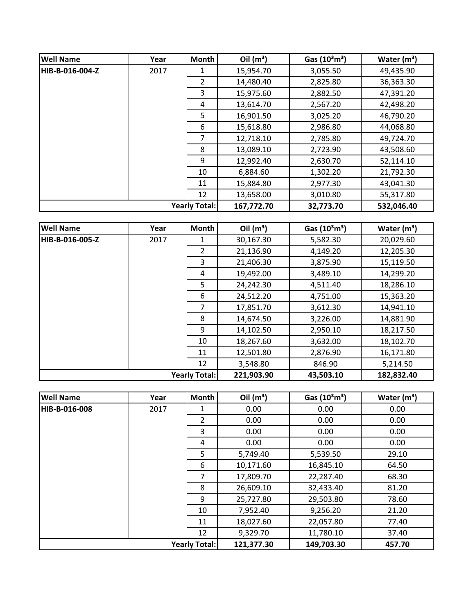| <b>Well Name</b>     | Year | <b>Month</b>   | Oil $(m^3)$ | Gas $(10^3 \text{m}^3)$ | Water $(m^3)$ |
|----------------------|------|----------------|-------------|-------------------------|---------------|
| HIB-B-016-004-Z      | 2017 |                | 15,954.70   | 3,055.50                | 49,435.90     |
|                      |      | $\overline{2}$ | 14,480.40   | 2,825.80                | 36,363.30     |
|                      |      | 3              | 15,975.60   | 2,882.50                | 47,391.20     |
|                      |      | 4              | 13,614.70   | 2,567.20                | 42,498.20     |
|                      |      | 5              | 16,901.50   | 3,025.20                | 46,790.20     |
|                      |      | 6              | 15,618.80   | 2,986.80                | 44,068.80     |
|                      |      | 7              | 12,718.10   | 2,785.80                | 49,724.70     |
|                      |      | 8              | 13,089.10   | 2,723.90                | 43,508.60     |
|                      |      | 9              | 12,992.40   | 2,630.70                | 52,114.10     |
|                      |      | 10             | 6,884.60    | 1,302.20                | 21,792.30     |
|                      |      | 11             | 15,884.80   | 2,977.30                | 43,041.30     |
|                      |      | 12             | 13,658.00   | 3,010.80                | 55,317.80     |
| <b>Yearly Total:</b> |      |                | 167,772.70  | 32,773.70               | 532,046.40    |

| <b>Well Name</b>     | Year | <b>Month</b>   | Oil $(m^3)$ | Gas $(10^3 \text{m}^3)$ | Water $(m^3)$ |
|----------------------|------|----------------|-------------|-------------------------|---------------|
| HIB-B-016-005-Z      | 2017 | 1              | 30,167.30   | 5,582.30                | 20,029.60     |
|                      |      | $\overline{2}$ | 21,136.90   | 4,149.20                | 12,205.30     |
|                      |      | 3              | 21,406.30   | 3,875.90                | 15,119.50     |
|                      |      | 4              | 19,492.00   | 3,489.10                | 14,299.20     |
|                      |      | 5              | 24,242.30   | 4,511.40                | 18,286.10     |
|                      |      | 6              | 24,512.20   | 4,751.00                | 15,363.20     |
|                      |      | 7              | 17,851.70   | 3,612.30                | 14,941.10     |
|                      |      | 8              | 14,674.50   | 3,226.00                | 14,881.90     |
|                      |      | 9              | 14,102.50   | 2,950.10                | 18,217.50     |
|                      |      | 10             | 18,267.60   | 3,632.00                | 18,102.70     |
|                      |      | 11             | 12,501.80   | 2,876.90                | 16,171.80     |
|                      |      | 12             | 3,548.80    | 846.90                  | 5,214.50      |
| <b>Yearly Total:</b> |      |                | 221,903.90  | 43,503.10               | 182,832.40    |

| <b>Well Name</b>     | Year | Month          | Oil $(m^3)$ | Gas $(10^3 \text{m}^3)$ | Water $(m^3)$ |
|----------------------|------|----------------|-------------|-------------------------|---------------|
| HIB-B-016-008        | 2017 | 1              | 0.00        | 0.00                    | 0.00          |
|                      |      | $\overline{2}$ | 0.00        | 0.00                    | 0.00          |
|                      |      | 3              | 0.00        | 0.00                    | 0.00          |
|                      |      | 4              | 0.00        | 0.00                    | 0.00          |
|                      |      | 5              | 5,749.40    | 5,539.50                | 29.10         |
|                      |      | 6              | 10,171.60   | 16,845.10               | 64.50         |
|                      |      | 7              | 17,809.70   | 22,287.40               | 68.30         |
|                      |      | 8              | 26,609.10   | 32,433.40               | 81.20         |
|                      |      | 9              | 25,727.80   | 29,503.80               | 78.60         |
|                      |      | 10             | 7,952.40    | 9,256.20                | 21.20         |
|                      |      | 11             | 18,027.60   | 22,057.80               | 77.40         |
|                      |      | 12             | 9,329.70    | 11,780.10               | 37.40         |
| <b>Yearly Total:</b> |      |                | 121,377.30  | 149,703.30              | 457.70        |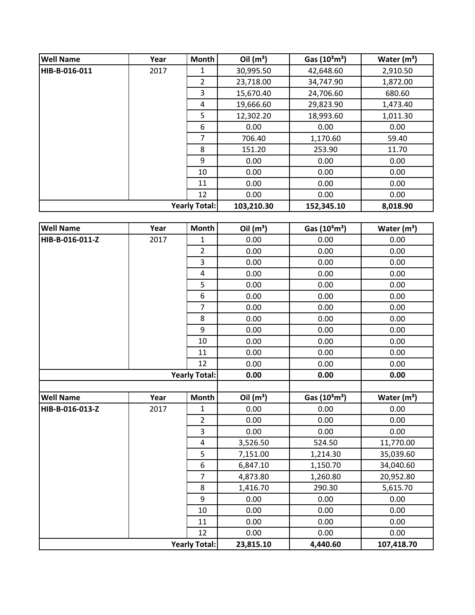| <b>Well Name</b> | Year | <b>Month</b>         | Oil $(m^3)$ | Gas $(10^3 \text{m}^3)$ | Water $(m^3)$ |
|------------------|------|----------------------|-------------|-------------------------|---------------|
| HIB-B-016-011    | 2017 | 1                    | 30,995.50   | 42,648.60               | 2,910.50      |
|                  |      | $\overline{2}$       | 23,718.00   | 34,747.90               | 1,872.00      |
|                  |      | 3                    | 15,670.40   | 24,706.60               | 680.60        |
|                  |      | 4                    | 19,666.60   | 29,823.90               | 1,473.40      |
|                  |      | 5                    | 12,302.20   | 18,993.60               | 1,011.30      |
|                  |      | 6                    | 0.00        | 0.00                    | 0.00          |
|                  |      | 7                    | 706.40      | 1,170.60                | 59.40         |
|                  |      | 8                    | 151.20      | 253.90                  | 11.70         |
|                  |      | 9                    | 0.00        | 0.00                    | 0.00          |
|                  |      | 10                   | 0.00        | 0.00                    | 0.00          |
|                  |      | 11                   | 0.00        | 0.00                    | 0.00          |
|                  |      | 12                   | 0.00        | 0.00                    | 0.00          |
|                  |      | <b>Yearly Total:</b> | 103,210.30  | 152,345.10              | 8,018.90      |

| <b>Well Name</b> | Year | <b>Month</b>         | Oil $(m^3)$ | Gas (10 <sup>3</sup> m <sup>3</sup> ) | Water $(m^3)$ |
|------------------|------|----------------------|-------------|---------------------------------------|---------------|
| HIB-B-016-011-Z  | 2017 | $\mathbf 1$          | 0.00        | 0.00                                  | 0.00          |
|                  |      | $\overline{2}$       | 0.00        | 0.00                                  | 0.00          |
|                  |      | 3                    | 0.00        | 0.00                                  | 0.00          |
|                  |      | $\pmb{4}$            | 0.00        | 0.00                                  | 0.00          |
|                  |      | 5                    | 0.00        | 0.00                                  | 0.00          |
|                  |      | $\boldsymbol{6}$     | 0.00        | 0.00                                  | 0.00          |
|                  |      | $\overline{7}$       | 0.00        | 0.00                                  | 0.00          |
|                  |      | 8                    | 0.00        | 0.00                                  | 0.00          |
|                  |      | 9                    | 0.00        | 0.00                                  | 0.00          |
|                  |      | 10                   | 0.00        | 0.00                                  | 0.00          |
|                  |      | 11                   | 0.00        | 0.00                                  | 0.00          |
|                  |      | 12                   | 0.00        | 0.00                                  | 0.00          |
|                  |      | <b>Yearly Total:</b> | 0.00        | 0.00                                  | 0.00          |
|                  |      |                      |             |                                       |               |
| <b>Well Name</b> | Year | Month                | Oil $(m^3)$ | Gas (10 <sup>3</sup> m <sup>3</sup> ) | Water $(m^3)$ |
| HIB-B-016-013-Z  | 2017 | $\mathbf 1$          | 0.00        | 0.00                                  | 0.00          |
|                  |      | $\overline{2}$       | 0.00        | 0.00                                  | 0.00          |
|                  |      | 3                    | 0.00        | 0.00                                  | 0.00          |
|                  |      | $\overline{4}$       | 3,526.50    | 524.50                                | 11,770.00     |
|                  |      | 5                    | 7,151.00    | 1,214.30                              | 35,039.60     |
|                  |      | 6                    | 6,847.10    | 1,150.70                              | 34,040.60     |
|                  |      | $\overline{7}$       | 4,873.80    | 1,260.80                              | 20,952.80     |
|                  |      | 8                    | 1,416.70    | 290.30                                | 5,615.70      |
|                  |      | 9                    | 0.00        | 0.00                                  | 0.00          |
|                  |      | 10                   | 0.00        | 0.00                                  | 0.00          |
|                  |      | 11                   | 0.00        | 0.00                                  | 0.00          |
|                  |      | 12                   | 0.00        | 0.00                                  | 0.00          |
|                  |      | <b>Yearly Total:</b> | 23,815.10   | 4,440.60                              | 107,418.70    |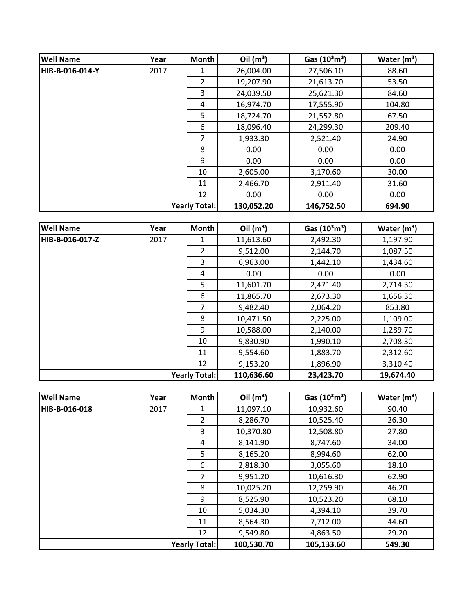| <b>Well Name</b> | Year | <b>Month</b>         | Oil $(m^3)$ | Gas $(10^3 \text{m}^3)$ | Water $(m^3)$ |
|------------------|------|----------------------|-------------|-------------------------|---------------|
| HIB-B-016-014-Y  | 2017 | 1                    | 26,004.00   | 27,506.10               | 88.60         |
|                  |      | $\overline{2}$       | 19,207.90   | 21,613.70               | 53.50         |
|                  |      | 3                    | 24,039.50   | 25,621.30               | 84.60         |
|                  |      | 4                    | 16,974.70   | 17,555.90               | 104.80        |
|                  |      | 5                    | 18,724.70   | 21,552.80               | 67.50         |
|                  |      | 6                    | 18,096.40   | 24,299.30               | 209.40        |
|                  |      | 7                    | 1,933.30    | 2,521.40                | 24.90         |
|                  |      | 8                    | 0.00        | 0.00                    | 0.00          |
|                  |      | 9                    | 0.00        | 0.00                    | 0.00          |
|                  |      | 10                   | 2,605.00    | 3,170.60                | 30.00         |
|                  |      | 11                   | 2,466.70    | 2,911.40                | 31.60         |
|                  |      | 12                   | 0.00        | 0.00                    | 0.00          |
|                  |      | <b>Yearly Total:</b> | 130,052.20  | 146,752.50              | 694.90        |

| <b>Well Name</b>     | Year | Month          | Oil $(m^3)$ | Gas $(10^3 \text{m}^3)$ | Water $(m^3)$ |
|----------------------|------|----------------|-------------|-------------------------|---------------|
| HIB-B-016-017-Z      | 2017 | 1              | 11,613.60   | 2,492.30                | 1,197.90      |
|                      |      | $\overline{2}$ | 9,512.00    | 2,144.70                | 1,087.50      |
|                      |      | 3              | 6,963.00    | 1,442.10                | 1,434.60      |
|                      |      | 4              | 0.00        | 0.00                    | 0.00          |
|                      |      | 5              | 11,601.70   | 2,471.40                | 2,714.30      |
|                      |      | 6              | 11,865.70   | 2,673.30                | 1,656.30      |
|                      |      | 7              | 9,482.40    | 2,064.20                | 853.80        |
|                      |      | 8              | 10,471.50   | 2,225.00                | 1,109.00      |
|                      |      | 9              | 10,588.00   | 2,140.00                | 1,289.70      |
|                      |      | 10             | 9,830.90    | 1,990.10                | 2,708.30      |
|                      |      | 11             | 9,554.60    | 1,883.70                | 2,312.60      |
|                      |      | 12             | 9,153.20    | 1,896.90                | 3,310.40      |
| <b>Yearly Total:</b> |      |                | 110,636.60  | 23,423.70               | 19,674.40     |

| <b>Well Name</b>     | Year | <b>Month</b>   | Oil $(m^3)$ | Gas $(10^3 \text{m}^3)$ | Water $(m^3)$ |
|----------------------|------|----------------|-------------|-------------------------|---------------|
| HIB-B-016-018        | 2017 | 1              | 11,097.10   | 10,932.60               | 90.40         |
|                      |      | $\overline{2}$ | 8,286.70    | 10,525.40               | 26.30         |
|                      |      | 3              | 10,370.80   | 12,508.80               | 27.80         |
|                      |      | 4              | 8,141.90    | 8,747.60                | 34.00         |
|                      |      | 5              | 8,165.20    | 8,994.60                | 62.00         |
|                      |      | 6              | 2,818.30    | 3,055.60                | 18.10         |
|                      |      | 7              | 9,951.20    | 10,616.30               | 62.90         |
|                      |      | 8              | 10,025.20   | 12,259.90               | 46.20         |
|                      |      | 9              | 8,525.90    | 10,523.20               | 68.10         |
|                      |      | 10             | 5,034.30    | 4,394.10                | 39.70         |
|                      |      | 11             | 8,564.30    | 7,712.00                | 44.60         |
|                      |      | 12             | 9,549.80    | 4,863.50                | 29.20         |
| <b>Yearly Total:</b> |      |                | 100,530.70  | 105,133.60              | 549.30        |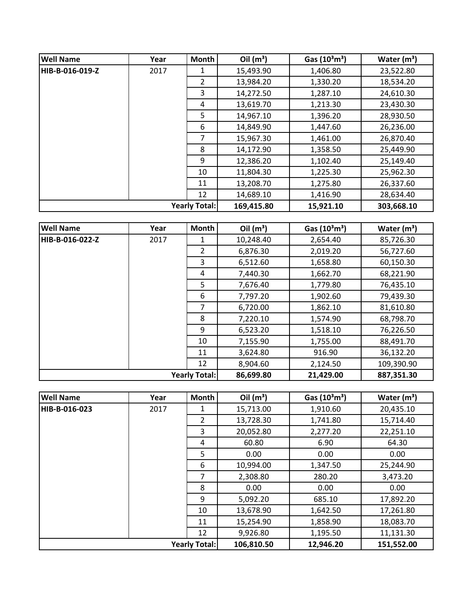| <b>Well Name</b> | Year                 | <b>Month</b>   | Oil $(m^3)$ | Gas $(10^3 \text{m}^3)$ | Water $(m^3)$ |
|------------------|----------------------|----------------|-------------|-------------------------|---------------|
| HIB-B-016-019-Z  | 2017                 |                | 15,493.90   | 1,406.80                | 23,522.80     |
|                  |                      | $\overline{2}$ | 13,984.20   | 1,330.20                | 18,534.20     |
|                  |                      | 3              | 14,272.50   | 1,287.10                | 24,610.30     |
|                  |                      | 4              | 13,619.70   | 1,213.30                | 23,430.30     |
|                  |                      | 5              | 14,967.10   | 1,396.20                | 28,930.50     |
|                  |                      | 6              | 14,849.90   | 1,447.60                | 26,236.00     |
|                  |                      | 7              | 15,967.30   | 1,461.00                | 26,870.40     |
|                  |                      | 8              | 14,172.90   | 1,358.50                | 25,449.90     |
|                  |                      | 9              | 12,386.20   | 1,102.40                | 25,149.40     |
|                  |                      | 10             | 11,804.30   | 1,225.30                | 25,962.30     |
|                  |                      | 11             | 13,208.70   | 1,275.80                | 26,337.60     |
|                  |                      | 12             | 14,689.10   | 1,416.90                | 28,634.40     |
|                  | <b>Yearly Total:</b> |                | 169,415.80  | 15,921.10               | 303,668.10    |

| <b>Well Name</b>     | Year | Month          | Oil $(m^3)$ | Gas $(10^3 \text{m}^3)$ | Water $(m^3)$ |
|----------------------|------|----------------|-------------|-------------------------|---------------|
| HIB-B-016-022-Z      | 2017 | 1              | 10,248.40   | 2,654.40                | 85,726.30     |
|                      |      | $\overline{2}$ | 6,876.30    | 2,019.20                | 56,727.60     |
|                      |      | 3              | 6,512.60    | 1,658.80                | 60,150.30     |
|                      |      | 4              | 7,440.30    | 1,662.70                | 68,221.90     |
|                      |      | 5              | 7,676.40    | 1,779.80                | 76,435.10     |
|                      |      | 6              | 7,797.20    | 1,902.60                | 79,439.30     |
|                      |      | 7              | 6,720.00    | 1,862.10                | 81,610.80     |
|                      |      | 8              | 7,220.10    | 1,574.90                | 68,798.70     |
|                      |      | 9              | 6,523.20    | 1,518.10                | 76,226.50     |
|                      |      | 10             | 7,155.90    | 1,755.00                | 88,491.70     |
|                      |      | 11             | 3,624.80    | 916.90                  | 36,132.20     |
|                      |      | 12             | 8,904.60    | 2,124.50                | 109,390.90    |
| <b>Yearly Total:</b> |      |                | 86,699.80   | 21,429.00               | 887,351.30    |

| <b>Well Name</b>     | Year | <b>Month</b>   | Oil $(m^3)$ | Gas $(10^3 \text{m}^3)$ | Water $(m^3)$ |
|----------------------|------|----------------|-------------|-------------------------|---------------|
| HIB-B-016-023        | 2017 | 1              | 15,713.00   | 1,910.60                | 20,435.10     |
|                      |      | $\overline{2}$ | 13,728.30   | 1,741.80                | 15,714.40     |
|                      |      | 3              | 20,052.80   | 2,277.20                | 22,251.10     |
|                      |      | 4              | 60.80       | 6.90                    | 64.30         |
|                      |      | 5              | 0.00        | 0.00                    | 0.00          |
|                      |      | 6              | 10,994.00   | 1,347.50                | 25,244.90     |
|                      |      | 7              | 2,308.80    | 280.20                  | 3,473.20      |
|                      |      | 8              | 0.00        | 0.00                    | 0.00          |
|                      |      | 9              | 5,092.20    | 685.10                  | 17,892.20     |
|                      |      | 10             | 13,678.90   | 1,642.50                | 17,261.80     |
|                      |      | 11             | 15,254.90   | 1,858.90                | 18,083.70     |
|                      |      | 12             | 9,926.80    | 1,195.50                | 11,131.30     |
| <b>Yearly Total:</b> |      |                | 106,810.50  | 12,946.20               | 151,552.00    |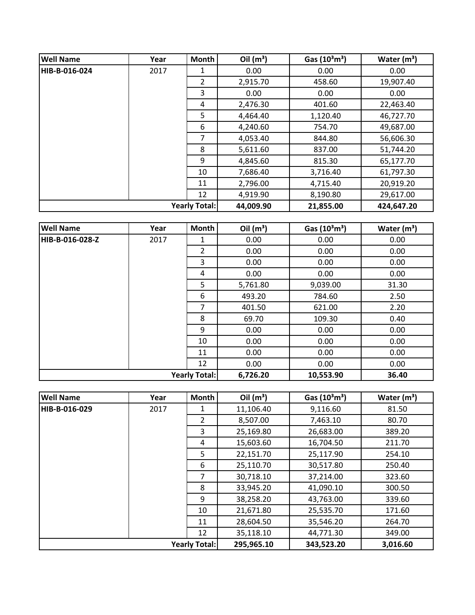| <b>Well Name</b>     | Year | Month | Oil $(m^3)$ | Gas $(10^3 \text{m}^3)$ | Water $(m^3)$ |
|----------------------|------|-------|-------------|-------------------------|---------------|
| HIB-B-016-024        | 2017 | 1     | 0.00        | 0.00                    | 0.00          |
|                      |      | 2     | 2,915.70    | 458.60                  | 19,907.40     |
|                      |      | 3     | 0.00        | 0.00                    | 0.00          |
|                      |      | 4     | 2,476.30    | 401.60                  | 22,463.40     |
|                      |      | 5     | 4,464.40    | 1,120.40                | 46,727.70     |
|                      |      | 6     | 4,240.60    | 754.70                  | 49,687.00     |
|                      |      | 7     | 4,053.40    | 844.80                  | 56,606.30     |
|                      |      | 8     | 5,611.60    | 837.00                  | 51,744.20     |
|                      |      | 9     | 4,845.60    | 815.30                  | 65,177.70     |
|                      |      | 10    | 7,686.40    | 3,716.40                | 61,797.30     |
|                      |      | 11    | 2,796.00    | 4,715.40                | 20,919.20     |
|                      |      | 12    | 4,919.90    | 8,190.80                | 29,617.00     |
| <b>Yearly Total:</b> |      |       | 44,009.90   | 21,855.00               | 424,647.20    |

| <b>Well Name</b>     | Year | <b>Month</b>   | Oil $(m^3)$ | Gas $(10^3 \text{m}^3)$ | Water $(m^3)$ |
|----------------------|------|----------------|-------------|-------------------------|---------------|
| HIB-B-016-028-Z      | 2017 | 1              | 0.00        | 0.00                    | 0.00          |
|                      |      | $\overline{2}$ | 0.00        | 0.00                    | 0.00          |
|                      |      | 3              | 0.00        | 0.00                    | 0.00          |
|                      |      | 4              | 0.00        | 0.00                    | 0.00          |
|                      |      | 5              | 5,761.80    | 9,039.00                | 31.30         |
|                      |      | 6              | 493.20      | 784.60                  | 2.50          |
|                      |      | $\overline{7}$ | 401.50      | 621.00                  | 2.20          |
|                      |      | 8              | 69.70       | 109.30                  | 0.40          |
|                      |      | 9              | 0.00        | 0.00                    | 0.00          |
|                      |      | 10             | 0.00        | 0.00                    | 0.00          |
|                      |      | 11             | 0.00        | 0.00                    | 0.00          |
|                      |      | 12             | 0.00        | 0.00                    | 0.00          |
| <b>Yearly Total:</b> |      |                | 6,726.20    | 10,553.90               | 36.40         |

| <b>Well Name</b>     | Year | <b>Month</b>   | Oil $(m^3)$ | Gas $(10^3 \text{m}^3)$ | Water $(m^3)$ |
|----------------------|------|----------------|-------------|-------------------------|---------------|
| HIB-B-016-029        | 2017 | 1              | 11,106.40   | 9,116.60                | 81.50         |
|                      |      | $\overline{2}$ | 8,507.00    | 7,463.10                | 80.70         |
|                      |      | 3              | 25,169.80   | 26,683.00               | 389.20        |
|                      |      | 4              | 15,603.60   | 16,704.50               | 211.70        |
|                      |      | 5              | 22,151.70   | 25,117.90               | 254.10        |
|                      |      | 6              | 25,110.70   | 30,517.80               | 250.40        |
|                      |      | 7              | 30,718.10   | 37,214.00               | 323.60        |
|                      |      | 8              | 33,945.20   | 41,090.10               | 300.50        |
|                      |      | 9              | 38,258.20   | 43,763.00               | 339.60        |
|                      |      | 10             | 21,671.80   | 25,535.70               | 171.60        |
|                      |      | 11             | 28,604.50   | 35,546.20               | 264.70        |
|                      |      | 12             | 35,118.10   | 44,771.30               | 349.00        |
| <b>Yearly Total:</b> |      |                | 295,965.10  | 343,523.20              | 3,016.60      |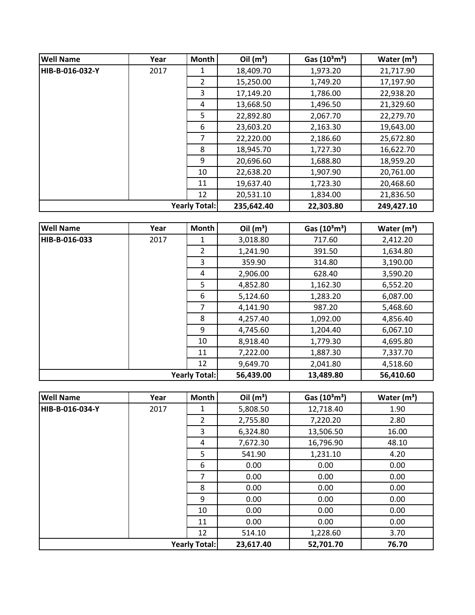| <b>Well Name</b> | Year | <b>Month</b>         | Oil $(m^3)$ | Gas $(10^3 \text{m}^3)$ | Water $(m^3)$ |
|------------------|------|----------------------|-------------|-------------------------|---------------|
| HIB-B-016-032-Y  | 2017 |                      | 18,409.70   | 1,973.20                | 21,717.90     |
|                  |      | $\overline{2}$       | 15,250.00   | 1,749.20                | 17,197.90     |
|                  |      | 3                    | 17,149.20   | 1,786.00                | 22,938.20     |
|                  |      | 4                    | 13,668.50   | 1,496.50                | 21,329.60     |
|                  |      | 5                    | 22,892.80   | 2,067.70                | 22,279.70     |
|                  |      | 6                    | 23,603.20   | 2,163.30                | 19,643.00     |
|                  |      | 7                    | 22,220.00   | 2,186.60                | 25,672.80     |
|                  |      | 8                    | 18,945.70   | 1,727.30                | 16,622.70     |
|                  |      | 9                    | 20,696.60   | 1,688.80                | 18,959.20     |
|                  |      | 10                   | 22,638.20   | 1,907.90                | 20,761.00     |
|                  |      | 11                   | 19,637.40   | 1,723.30                | 20,468.60     |
|                  |      | 12                   | 20,531.10   | 1,834.00                | 21,836.50     |
|                  |      | <b>Yearly Total:</b> | 235,642.40  | 22,303.80               | 249,427.10    |

| <b>Well Name</b>     | Year | Month          | Oil $(m^3)$ | Gas $(10^3 \text{m}^3)$ | Water $(m^3)$ |
|----------------------|------|----------------|-------------|-------------------------|---------------|
| HIB-B-016-033        | 2017 | 1              | 3,018.80    | 717.60                  | 2,412.20      |
|                      |      | $\overline{2}$ | 1,241.90    | 391.50                  | 1,634.80      |
|                      |      | 3              | 359.90      | 314.80                  | 3,190.00      |
|                      |      | 4              | 2,906.00    | 628.40                  | 3,590.20      |
|                      |      | 5              | 4,852.80    | 1,162.30                | 6,552.20      |
|                      |      | 6              | 5,124.60    | 1,283.20                | 6,087.00      |
|                      |      | 7              | 4,141.90    | 987.20                  | 5,468.60      |
|                      |      | 8              | 4,257.40    | 1,092.00                | 4,856.40      |
|                      |      | 9              | 4,745.60    | 1,204.40                | 6,067.10      |
|                      |      | 10             | 8,918.40    | 1,779.30                | 4,695.80      |
|                      |      | 11             | 7,222.00    | 1,887.30                | 7,337.70      |
|                      |      | 12             | 9,649.70    | 2,041.80                | 4,518.60      |
| <b>Yearly Total:</b> |      |                | 56,439.00   | 13,489.80               | 56,410.60     |

| <b>Well Name</b>     | Year | <b>Month</b>   | Oil $(m^3)$ | Gas $(10^3 \text{m}^3)$ | Water $(m^3)$ |
|----------------------|------|----------------|-------------|-------------------------|---------------|
| HIB-B-016-034-Y      | 2017 | 1              | 5,808.50    | 12,718.40               | 1.90          |
|                      |      | $\overline{2}$ | 2,755.80    | 7,220.20                | 2.80          |
|                      |      | 3              | 6,324.80    | 13,506.50               | 16.00         |
|                      |      | 4              | 7,672.30    | 16,796.90               | 48.10         |
|                      |      | 5              | 541.90      | 1,231.10                | 4.20          |
|                      |      | 6              | 0.00        | 0.00                    | 0.00          |
|                      |      | 7              | 0.00        | 0.00                    | 0.00          |
|                      |      | 8              | 0.00        | 0.00                    | 0.00          |
|                      |      | 9              | 0.00        | 0.00                    | 0.00          |
|                      |      | 10             | 0.00        | 0.00                    | 0.00          |
|                      |      | 11             | 0.00        | 0.00                    | 0.00          |
|                      |      | 12             | 514.10      | 1,228.60                | 3.70          |
| <b>Yearly Total:</b> |      |                | 23,617.40   | 52,701.70               | 76.70         |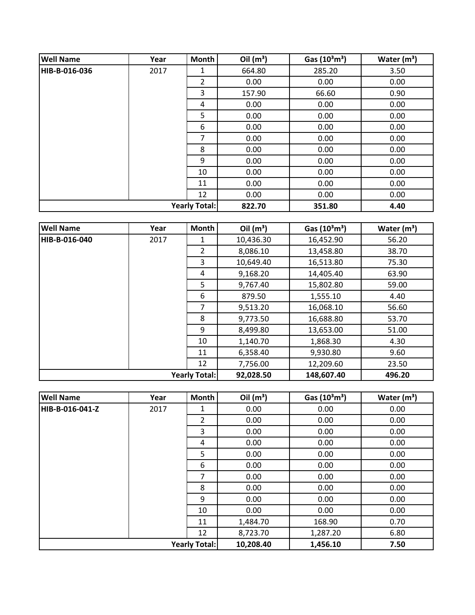| <b>Well Name</b> | Year | <b>Month</b>         | Oil $(m^3)$ | Gas $(10^3 \text{m}^3)$ | Water $(m^3)$ |
|------------------|------|----------------------|-------------|-------------------------|---------------|
| HIB-B-016-036    | 2017 | 1                    | 664.80      | 285.20                  | 3.50          |
|                  |      | 2                    | 0.00        | 0.00                    | 0.00          |
|                  |      | 3                    | 157.90      | 66.60                   | 0.90          |
|                  |      | 4                    | 0.00        | 0.00                    | 0.00          |
|                  |      | 5                    | 0.00        | 0.00                    | 0.00          |
|                  |      | 6                    | 0.00        | 0.00                    | 0.00          |
|                  |      | 7                    | 0.00        | 0.00                    | 0.00          |
|                  |      | 8                    | 0.00        | 0.00                    | 0.00          |
|                  |      | 9                    | 0.00        | 0.00                    | 0.00          |
|                  |      | 10                   | 0.00        | 0.00                    | 0.00          |
|                  |      | 11                   | 0.00        | 0.00                    | 0.00          |
|                  |      | 12                   | 0.00        | 0.00                    | 0.00          |
|                  |      | <b>Yearly Total:</b> | 822.70      | 351.80                  | 4.40          |

| <b>Well Name</b> | Year | Month                | Oil $(m^3)$ | Gas $(10^3 \text{m}^3)$ | Water $(m^3)$ |
|------------------|------|----------------------|-------------|-------------------------|---------------|
| HIB-B-016-040    | 2017 | 1                    | 10,436.30   | 16,452.90               | 56.20         |
|                  |      | $\overline{2}$       | 8,086.10    | 13,458.80               | 38.70         |
|                  |      | 3                    | 10,649.40   | 16,513.80               | 75.30         |
|                  |      | 4                    | 9,168.20    | 14,405.40               | 63.90         |
|                  |      | 5                    | 9,767.40    | 15,802.80               | 59.00         |
|                  |      | 6                    | 879.50      | 1,555.10                | 4.40          |
|                  |      | 7                    | 9,513.20    | 16,068.10               | 56.60         |
|                  |      | 8                    | 9,773.50    | 16,688.80               | 53.70         |
|                  |      | 9                    | 8,499.80    | 13,653.00               | 51.00         |
|                  |      | 10                   | 1,140.70    | 1,868.30                | 4.30          |
|                  |      | 11                   | 6,358.40    | 9,930.80                | 9.60          |
|                  |      | 12                   | 7,756.00    | 12,209.60               | 23.50         |
|                  |      | <b>Yearly Total:</b> | 92,028.50   | 148,607.40              | 496.20        |

| <b>Well Name</b>     | Year | <b>Month</b>   | Oil $(m^3)$ | Gas $(10^3 \text{m}^3)$ | Water $(m^3)$ |
|----------------------|------|----------------|-------------|-------------------------|---------------|
| HIB-B-016-041-Z      | 2017 | 1              | 0.00        | 0.00                    | 0.00          |
|                      |      | $\overline{2}$ | 0.00        | 0.00                    | 0.00          |
|                      |      | 3              | 0.00        | 0.00                    | 0.00          |
|                      |      | 4              | 0.00        | 0.00                    | 0.00          |
|                      |      | 5              | 0.00        | 0.00                    | 0.00          |
|                      |      | 6              | 0.00        | 0.00                    | 0.00          |
|                      |      | 7              | 0.00        | 0.00                    | 0.00          |
|                      |      | 8              | 0.00        | 0.00                    | 0.00          |
|                      |      | 9              | 0.00        | 0.00                    | 0.00          |
|                      |      | 10             | 0.00        | 0.00                    | 0.00          |
|                      |      | 11             | 1,484.70    | 168.90                  | 0.70          |
|                      |      | 12             | 8,723.70    | 1,287.20                | 6.80          |
| <b>Yearly Total:</b> |      |                | 10,208.40   | 1,456.10                | 7.50          |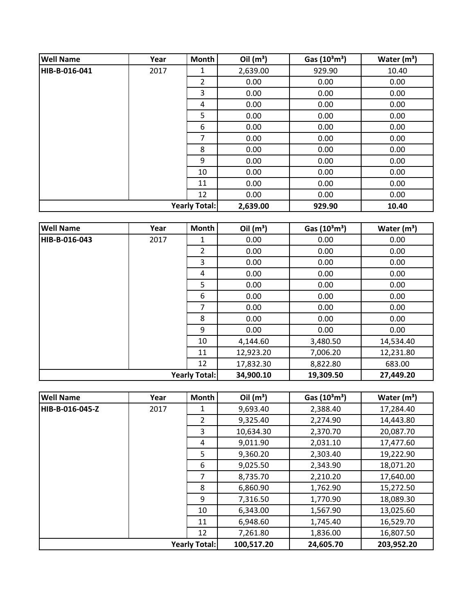| <b>Well Name</b>     | Year | Month          | Oil $(m^3)$ | Gas $(10^3 \text{m}^3)$ | Water $(m^3)$ |
|----------------------|------|----------------|-------------|-------------------------|---------------|
| HIB-B-016-041        | 2017 | 1              | 2,639.00    | 929.90                  | 10.40         |
|                      |      | $\overline{2}$ | 0.00        | 0.00                    | 0.00          |
|                      |      | 3              | 0.00        | 0.00                    | 0.00          |
|                      |      | 4              | 0.00        | 0.00                    | 0.00          |
|                      |      | 5              | 0.00        | 0.00                    | 0.00          |
|                      |      | 6              | 0.00        | 0.00                    | 0.00          |
|                      |      | 7              | 0.00        | 0.00                    | 0.00          |
|                      |      | 8              | 0.00        | 0.00                    | 0.00          |
|                      |      | 9              | 0.00        | 0.00                    | 0.00          |
|                      |      | 10             | 0.00        | 0.00                    | 0.00          |
|                      |      | 11             | 0.00        | 0.00                    | 0.00          |
|                      |      | 12             | 0.00        | 0.00                    | 0.00          |
| <b>Yearly Total:</b> |      |                | 2,639.00    | 929.90                  | 10.40         |

| <b>Well Name</b>     | Year | <b>Month</b>   | Oil $(m^3)$ | Gas $(10^3 \text{m}^3)$ | Water $(m^3)$ |
|----------------------|------|----------------|-------------|-------------------------|---------------|
| HIB-B-016-043        | 2017 | 1              | 0.00        | 0.00                    | 0.00          |
|                      |      | $\overline{2}$ | 0.00        | 0.00                    | 0.00          |
|                      |      | 3              | 0.00        | 0.00                    | 0.00          |
|                      |      | 4              | 0.00        | 0.00                    | 0.00          |
|                      |      | 5              | 0.00        | 0.00                    | 0.00          |
|                      |      | 6              | 0.00        | 0.00                    | 0.00          |
|                      |      | 7              | 0.00        | 0.00                    | 0.00          |
|                      |      | 8              | 0.00        | 0.00                    | 0.00          |
|                      |      | 9              | 0.00        | 0.00                    | 0.00          |
|                      |      | 10             | 4,144.60    | 3,480.50                | 14,534.40     |
|                      |      | 11             | 12,923.20   | 7,006.20                | 12,231.80     |
|                      |      | 12             | 17,832.30   | 8,822.80                | 683.00        |
| <b>Yearly Total:</b> |      |                | 34,900.10   | 19,309.50               | 27,449.20     |

| <b>Well Name</b>     | Year | Month          | Oil $(m^3)$ | Gas $(10^3 \text{m}^3)$ | Water $(m^3)$ |
|----------------------|------|----------------|-------------|-------------------------|---------------|
| HIB-B-016-045-Z      | 2017 | 1              | 9,693.40    | 2,388.40                | 17,284.40     |
|                      |      | $\overline{2}$ | 9,325.40    | 2,274.90                | 14,443.80     |
|                      |      | 3              | 10,634.30   | 2,370.70                | 20,087.70     |
|                      |      | 4              | 9,011.90    | 2,031.10                | 17,477.60     |
|                      |      | 5              | 9,360.20    | 2,303.40                | 19,222.90     |
|                      |      | 6              | 9,025.50    | 2,343.90                | 18,071.20     |
|                      |      | 7              | 8,735.70    | 2,210.20                | 17,640.00     |
|                      |      | 8              | 6,860.90    | 1,762.90                | 15,272.50     |
|                      |      | 9              | 7,316.50    | 1,770.90                | 18,089.30     |
|                      |      | 10             | 6,343.00    | 1,567.90                | 13,025.60     |
|                      |      | 11             | 6,948.60    | 1,745.40                | 16,529.70     |
|                      |      | 12             | 7,261.80    | 1,836.00                | 16,807.50     |
| <b>Yearly Total:</b> |      |                | 100,517.20  | 24,605.70               | 203,952.20    |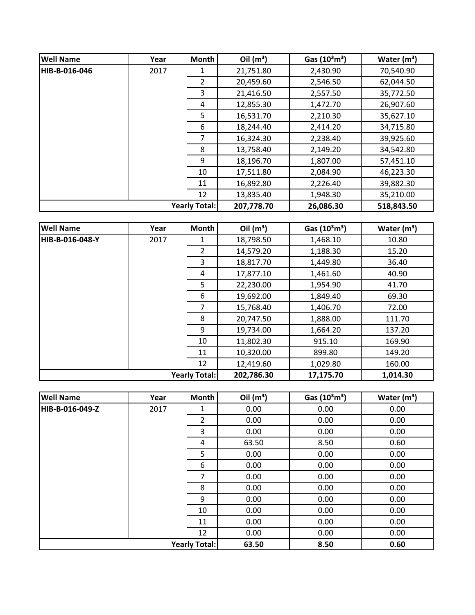| <b>Well Name</b>     | Year | <b>Month</b>   | Oil $(m^3)$ | Gas $(10^3 \text{m}^3)$ | Water $(m^3)$ |
|----------------------|------|----------------|-------------|-------------------------|---------------|
| HIB-B-016-046        | 2017 |                | 21,751.80   | 2,430.90                | 70,540.90     |
|                      |      | $\overline{2}$ | 20,459.60   | 2,546.50                | 62,044.50     |
|                      |      | 3              | 21,416.50   | 2,557.50                | 35,772.50     |
|                      |      | 4              | 12,855.30   | 1,472.70                | 26,907.60     |
|                      |      | 5              | 16,531.70   | 2,210.30                | 35,627.10     |
|                      |      | 6              | 18,244.40   | 2,414.20                | 34,715.80     |
|                      |      | 7              | 16,324.30   | 2,238.40                | 39,925.60     |
|                      |      | 8              | 13,758.40   | 2,149.20                | 34,542.80     |
|                      |      | 9              | 18,196.70   | 1,807.00                | 57,451.10     |
|                      |      | 10             | 17,511.80   | 2,084.90                | 46,223.30     |
|                      |      | 11             | 16,892.80   | 2,226.40                | 39,882.30     |
|                      |      | 12             | 13,835.40   | 1,948.30                | 35,210.00     |
| <b>Yearly Total:</b> |      |                | 207,778.70  | 26,086.30               | 518,843.50    |

| <b>Well Name</b> | Year | <b>Month</b>         | Oil $(m^3)$ | Gas $(10^3 \text{m}^3)$ | Water $(m^3)$ |
|------------------|------|----------------------|-------------|-------------------------|---------------|
| HIB-B-016-048-Y  | 2017 | 1                    | 18,798.50   | 1,468.10                | 10.80         |
|                  |      | $\overline{2}$       | 14,579.20   | 1,188.30                | 15.20         |
|                  |      | 3                    | 18,817.70   | 1,449.80                | 36.40         |
|                  |      | 4                    | 17,877.10   | 1,461.60                | 40.90         |
|                  |      | 5                    | 22,230.00   | 1,954.90                | 41.70         |
|                  |      | 6                    | 19,692.00   | 1,849.40                | 69.30         |
|                  |      | 7                    | 15,768.40   | 1,406.70                | 72.00         |
|                  |      | 8                    | 20,747.50   | 1,888.00                | 111.70        |
|                  |      | 9                    | 19,734.00   | 1,664.20                | 137.20        |
|                  |      | 10                   | 11,802.30   | 915.10                  | 169.90        |
|                  |      | 11                   | 10,320.00   | 899.80                  | 149.20        |
|                  |      | 12                   | 12,419.60   | 1,029.80                | 160.00        |
|                  |      | <b>Yearly Total:</b> | 202,786.30  | 17,175.70               | 1,014.30      |

| <b>Well Name</b>     | Year | Month          | Oil $(m^3)$ | Gas $(10^3 \text{m}^3)$ | Water $(m^3)$ |
|----------------------|------|----------------|-------------|-------------------------|---------------|
| HIB-B-016-049-Z      | 2017 | 1              | 0.00        | 0.00                    | 0.00          |
|                      |      | $\overline{2}$ | 0.00        | 0.00                    | 0.00          |
|                      |      | 3              | 0.00        | 0.00                    | 0.00          |
|                      |      | 4              | 63.50       | 8.50                    | 0.60          |
|                      |      | 5              | 0.00        | 0.00                    | 0.00          |
|                      |      | 6              | 0.00        | 0.00                    | 0.00          |
|                      |      | 7              | 0.00        | 0.00                    | 0.00          |
|                      |      | 8              | 0.00        | 0.00                    | 0.00          |
|                      |      | 9              | 0.00        | 0.00                    | 0.00          |
|                      |      | 10             | 0.00        | 0.00                    | 0.00          |
|                      |      | 11             | 0.00        | 0.00                    | 0.00          |
|                      |      | 12             | 0.00        | 0.00                    | 0.00          |
| <b>Yearly Total:</b> |      |                | 63.50       | 8.50                    | 0.60          |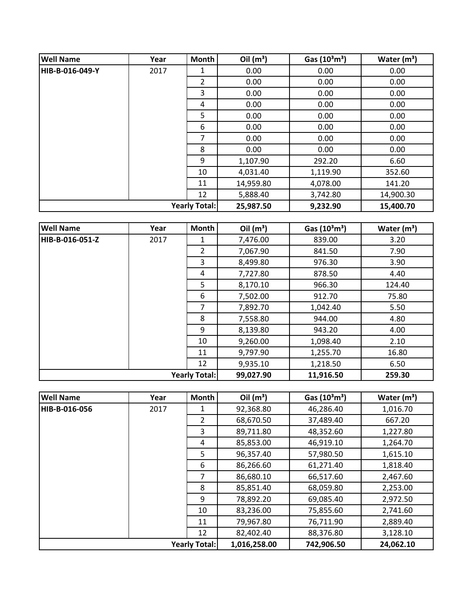| <b>Well Name</b> | Year | <b>Month</b>         | Oil $(m^3)$ | Gas $(10^3 \text{m}^3)$ | Water $(m^3)$ |
|------------------|------|----------------------|-------------|-------------------------|---------------|
| HIB-B-016-049-Y  | 2017 | 1                    | 0.00        | 0.00                    | 0.00          |
|                  |      | 2                    | 0.00        | 0.00                    | 0.00          |
|                  |      | 3                    | 0.00        | 0.00                    | 0.00          |
|                  |      | 4                    | 0.00        | 0.00                    | 0.00          |
|                  |      | 5                    | 0.00        | 0.00                    | 0.00          |
|                  |      | 6                    | 0.00        | 0.00                    | 0.00          |
|                  |      | 7                    | 0.00        | 0.00                    | 0.00          |
|                  |      | 8                    | 0.00        | 0.00                    | 0.00          |
|                  |      | 9                    | 1,107.90    | 292.20                  | 6.60          |
|                  |      | 10                   | 4,031.40    | 1,119.90                | 352.60        |
|                  |      | 11                   | 14,959.80   | 4,078.00                | 141.20        |
|                  |      | 12                   | 5,888.40    | 3,742.80                | 14,900.30     |
|                  |      | <b>Yearly Total:</b> | 25,987.50   | 9,232.90                | 15,400.70     |

| <b>Well Name</b> | Year | Month                | Oil $(m^3)$ | Gas $(10^3 \text{m}^3)$ | Water $(m^3)$ |
|------------------|------|----------------------|-------------|-------------------------|---------------|
| HIB-B-016-051-Z  | 2017 | 1                    | 7,476.00    | 839.00                  | 3.20          |
|                  |      | $\overline{2}$       | 7,067.90    | 841.50                  | 7.90          |
|                  |      | 3                    | 8,499.80    | 976.30                  | 3.90          |
|                  |      | 4                    | 7,727.80    | 878.50                  | 4.40          |
|                  |      | 5                    | 8,170.10    | 966.30                  | 124.40        |
|                  |      | 6                    | 7,502.00    | 912.70                  | 75.80         |
|                  |      | 7                    | 7,892.70    | 1,042.40                | 5.50          |
|                  |      | 8                    | 7,558.80    | 944.00                  | 4.80          |
|                  |      | 9                    | 8,139.80    | 943.20                  | 4.00          |
|                  |      | 10                   | 9,260.00    | 1,098.40                | 2.10          |
|                  |      | 11                   | 9,797.90    | 1,255.70                | 16.80         |
|                  |      | 12                   | 9,935.10    | 1,218.50                | 6.50          |
|                  |      | <b>Yearly Total:</b> | 99,027.90   | 11,916.50               | 259.30        |

| <b>Well Name</b>     | Year | <b>Month</b>   | Oil $(m^3)$  | Gas $(10^3 \text{m}^3)$ | Water $(m^3)$ |
|----------------------|------|----------------|--------------|-------------------------|---------------|
| HIB-B-016-056        | 2017 |                | 92,368.80    | 46,286.40               | 1,016.70      |
|                      |      | $\overline{2}$ | 68,670.50    | 37,489.40               | 667.20        |
|                      |      | 3              | 89,711.80    | 48,352.60               | 1,227.80      |
|                      |      | 4              | 85,853.00    | 46,919.10               | 1,264.70      |
|                      |      | 5.             | 96,357.40    | 57,980.50               | 1,615.10      |
|                      |      | 6              | 86,266.60    | 61,271.40               | 1,818.40      |
|                      |      | 7              | 86,680.10    | 66,517.60               | 2,467.60      |
|                      |      | 8              | 85,851.40    | 68,059.80               | 2,253.00      |
|                      |      | 9              | 78,892.20    | 69,085.40               | 2,972.50      |
|                      |      | 10             | 83,236.00    | 75,855.60               | 2,741.60      |
|                      |      | 11             | 79,967.80    | 76,711.90               | 2,889.40      |
|                      |      | 12             | 82,402.40    | 88,376.80               | 3,128.10      |
| <b>Yearly Total:</b> |      |                | 1,016,258.00 | 742,906.50              | 24,062.10     |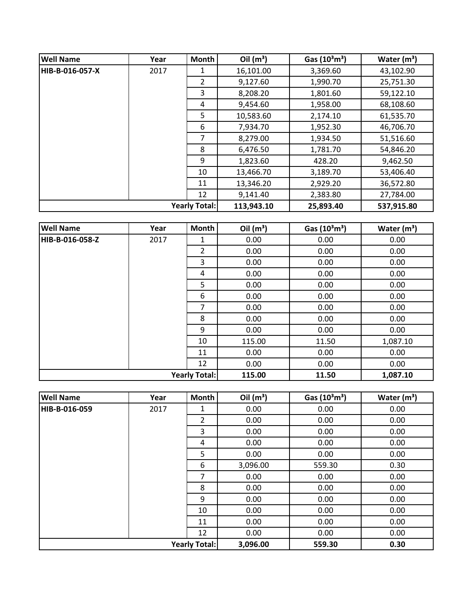| <b>Well Name</b>     | Year | <b>Month</b>   | Oil $(m^3)$ | Gas $(10^3 \text{m}^3)$ | Water $(m^3)$ |
|----------------------|------|----------------|-------------|-------------------------|---------------|
| HIB-B-016-057-X      | 2017 | 1              | 16,101.00   | 3,369.60                | 43,102.90     |
|                      |      | $\overline{2}$ | 9,127.60    | 1,990.70                | 25,751.30     |
|                      |      | 3              | 8,208.20    | 1,801.60                | 59,122.10     |
|                      |      | 4              | 9,454.60    | 1,958.00                | 68,108.60     |
|                      |      | 5              | 10,583.60   | 2,174.10                | 61,535.70     |
|                      |      | 6              | 7,934.70    | 1,952.30                | 46,706.70     |
|                      |      | 7              | 8,279.00    | 1,934.50                | 51,516.60     |
|                      |      | 8              | 6,476.50    | 1,781.70                | 54,846.20     |
|                      |      | 9              | 1,823.60    | 428.20                  | 9,462.50      |
|                      |      | 10             | 13,466.70   | 3,189.70                | 53,406.40     |
|                      |      | 11             | 13,346.20   | 2,929.20                | 36,572.80     |
|                      |      | 12             | 9,141.40    | 2,383.80                | 27,784.00     |
| <b>Yearly Total:</b> |      |                | 113,943.10  | 25,893.40               | 537,915.80    |

| <b>Well Name</b>     | Year | Month          | Oil $(m^3)$ | Gas $(10^3 \text{m}^3)$ | Water $(m^3)$ |
|----------------------|------|----------------|-------------|-------------------------|---------------|
| HIB-B-016-058-Z      | 2017 | 1              | 0.00        | 0.00                    | 0.00          |
|                      |      | $\overline{2}$ | 0.00        | 0.00                    | 0.00          |
|                      |      | 3              | 0.00        | 0.00                    | 0.00          |
|                      |      | 4              | 0.00        | 0.00                    | 0.00          |
|                      |      | 5              | 0.00        | 0.00                    | 0.00          |
|                      |      | 6              | 0.00        | 0.00                    | 0.00          |
|                      |      | 7              | 0.00        | 0.00                    | 0.00          |
|                      |      | 8              | 0.00        | 0.00                    | 0.00          |
|                      |      | 9              | 0.00        | 0.00                    | 0.00          |
|                      |      | 10             | 115.00      | 11.50                   | 1,087.10      |
|                      |      | 11             | 0.00        | 0.00                    | 0.00          |
|                      |      | 12             | 0.00        | 0.00                    | 0.00          |
| <b>Yearly Total:</b> |      |                | 115.00      | 11.50                   | 1,087.10      |

| <b>Well Name</b>     | Year | <b>Month</b>   | Oil $(m^3)$ | Gas $(10^3 \text{m}^3)$ | Water $(m^3)$ |
|----------------------|------|----------------|-------------|-------------------------|---------------|
| HIB-B-016-059        | 2017 | 1              | 0.00        | 0.00                    | 0.00          |
|                      |      | $\overline{2}$ | 0.00        | 0.00                    | 0.00          |
|                      |      | 3              | 0.00        | 0.00                    | 0.00          |
|                      |      | 4              | 0.00        | 0.00                    | 0.00          |
|                      |      | 5              | 0.00        | 0.00                    | 0.00          |
|                      |      | 6              | 3,096.00    | 559.30                  | 0.30          |
|                      |      | 7              | 0.00        | 0.00                    | 0.00          |
|                      |      | 8              | 0.00        | 0.00                    | 0.00          |
|                      |      | 9              | 0.00        | 0.00                    | 0.00          |
|                      |      | 10             | 0.00        | 0.00                    | 0.00          |
|                      |      | 11             | 0.00        | 0.00                    | 0.00          |
|                      |      | 12             | 0.00        | 0.00                    | 0.00          |
| <b>Yearly Total:</b> |      |                | 3,096.00    | 559.30                  | 0.30          |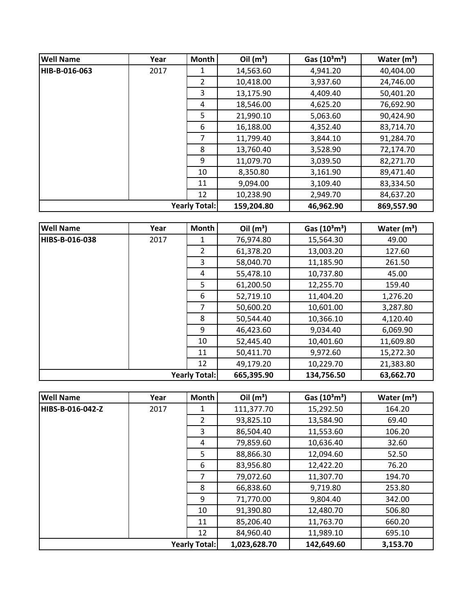| <b>Well Name</b>     | Year | <b>Month</b>   | Oil $(m^3)$ | Gas $(10^3 \text{m}^3)$ | Water $(m^3)$ |
|----------------------|------|----------------|-------------|-------------------------|---------------|
| HIB-B-016-063        | 2017 |                | 14,563.60   | 4,941.20                | 40,404.00     |
|                      |      | $\overline{2}$ | 10,418.00   | 3,937.60                | 24,746.00     |
|                      |      | 3              | 13,175.90   | 4,409.40                | 50,401.20     |
|                      |      | 4              | 18,546.00   | 4,625.20                | 76,692.90     |
|                      |      | 5              | 21,990.10   | 5,063.60                | 90,424.90     |
|                      |      | 6              | 16,188.00   | 4,352.40                | 83,714.70     |
|                      |      | 7              | 11,799.40   | 3,844.10                | 91,284.70     |
|                      |      | 8              | 13,760.40   | 3,528.90                | 72,174.70     |
|                      |      | 9              | 11,079.70   | 3,039.50                | 82,271.70     |
|                      |      | 10             | 8,350.80    | 3,161.90                | 89,471.40     |
|                      |      | 11             | 9,094.00    | 3,109.40                | 83,334.50     |
|                      |      | 12             | 10,238.90   | 2,949.70                | 84,637.20     |
| <b>Yearly Total:</b> |      |                | 159,204.80  | 46,962.90               | 869,557.90    |

| <b>Well Name</b> | Year | <b>Month</b>         | Oil $(m^3)$ | Gas $(10^3 \text{m}^3)$ | Water $(m^3)$ |
|------------------|------|----------------------|-------------|-------------------------|---------------|
| HIBS-B-016-038   | 2017 | 1                    | 76,974.80   | 15,564.30               | 49.00         |
|                  |      | $\overline{2}$       | 61,378.20   | 13,003.20               | 127.60        |
|                  |      | 3                    | 58,040.70   | 11,185.90               | 261.50        |
|                  |      | 4                    | 55,478.10   | 10,737.80               | 45.00         |
|                  |      | 5                    | 61,200.50   | 12,255.70               | 159.40        |
|                  |      | 6                    | 52,719.10   | 11,404.20               | 1,276.20      |
|                  |      | 7                    | 50,600.20   | 10,601.00               | 3,287.80      |
|                  |      | 8                    | 50,544.40   | 10,366.10               | 4,120.40      |
|                  |      | 9                    | 46,423.60   | 9,034.40                | 6,069.90      |
|                  |      | 10                   | 52,445.40   | 10,401.60               | 11,609.80     |
|                  |      | 11                   | 50,411.70   | 9,972.60                | 15,272.30     |
|                  |      | 12                   | 49,179.20   | 10,229.70               | 21,383.80     |
|                  |      | <b>Yearly Total:</b> | 665,395.90  | 134,756.50              | 63,662.70     |

| <b>Well Name</b> | Year | <b>Month</b>         | Oil $(m^3)$  | Gas $(10^3 \text{m}^3)$ | Water $(m^3)$ |
|------------------|------|----------------------|--------------|-------------------------|---------------|
| HIBS-B-016-042-Z | 2017 | 1                    | 111,377.70   | 15,292.50               | 164.20        |
|                  |      | $\overline{2}$       | 93,825.10    | 13,584.90               | 69.40         |
|                  |      | 3                    | 86,504.40    | 11,553.60               | 106.20        |
|                  |      | 4                    | 79,859.60    | 10,636.40               | 32.60         |
|                  |      | 5.                   | 88,866.30    | 12,094.60               | 52.50         |
|                  |      | 6                    | 83,956.80    | 12,422.20               | 76.20         |
|                  |      | 7                    | 79,072.60    | 11,307.70               | 194.70        |
|                  |      | 8                    | 66,838.60    | 9,719.80                | 253.80        |
|                  |      | 9                    | 71,770.00    | 9,804.40                | 342.00        |
|                  |      | 10                   | 91,390.80    | 12,480.70               | 506.80        |
|                  |      | 11                   | 85,206.40    | 11,763.70               | 660.20        |
|                  |      | 12                   | 84,960.40    | 11,989.10               | 695.10        |
|                  |      | <b>Yearly Total:</b> | 1,023,628.70 | 142,649.60              | 3,153.70      |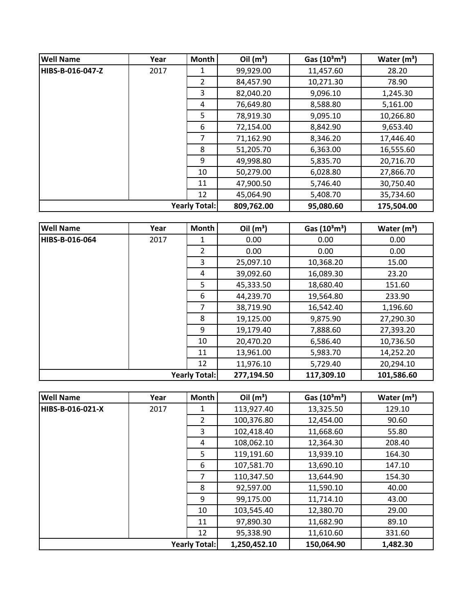| <b>Well Name</b>     | Year | <b>Month</b> | Oil $(m^3)$ | Gas $(10^3 \text{m}^3)$ | Water $(m^3)$ |
|----------------------|------|--------------|-------------|-------------------------|---------------|
| HIBS-B-016-047-Z     | 2017 | 1            | 99,929.00   | 11,457.60               | 28.20         |
|                      |      | 2            | 84,457.90   | 10,271.30               | 78.90         |
|                      |      | 3            | 82,040.20   | 9,096.10                | 1,245.30      |
|                      |      | 4            | 76,649.80   | 8,588.80                | 5,161.00      |
|                      |      | 5            | 78,919.30   | 9,095.10                | 10,266.80     |
|                      |      | 6            | 72,154.00   | 8,842.90                | 9,653.40      |
|                      |      | 7            | 71,162.90   | 8,346.20                | 17,446.40     |
|                      |      | 8            | 51,205.70   | 6,363.00                | 16,555.60     |
|                      |      | 9            | 49,998.80   | 5,835.70                | 20,716.70     |
|                      |      | 10           | 50,279.00   | 6,028.80                | 27,866.70     |
|                      |      | 11           | 47,900.50   | 5,746.40                | 30,750.40     |
|                      |      | 12           | 45,064.90   | 5,408.70                | 35,734.60     |
| <b>Yearly Total:</b> |      | 809,762.00   | 95,080.60   | 175,504.00              |               |

| <b>Well Name</b>     | Year | <b>Month</b> | Oil $(m^3)$ | Gas $(10^3 \text{m}^3)$ | Water $(m^3)$ |
|----------------------|------|--------------|-------------|-------------------------|---------------|
| HIBS-B-016-064       | 2017 | 1            | 0.00        | 0.00                    | 0.00          |
|                      |      | 2            | 0.00        | 0.00                    | 0.00          |
|                      |      | 3            | 25,097.10   | 10,368.20               | 15.00         |
|                      |      | 4            | 39,092.60   | 16,089.30               | 23.20         |
|                      |      | 5            | 45,333.50   | 18,680.40               | 151.60        |
|                      |      | 6            | 44,239.70   | 19,564.80               | 233.90        |
|                      |      | 7            | 38,719.90   | 16,542.40               | 1,196.60      |
|                      |      | 8            | 19,125.00   | 9,875.90                | 27,290.30     |
|                      |      | 9            | 19,179.40   | 7,888.60                | 27,393.20     |
|                      |      | 10           | 20,470.20   | 6,586.40                | 10,736.50     |
|                      |      | 11           | 13,961.00   | 5,983.70                | 14,252.20     |
|                      |      | 12           | 11,976.10   | 5,729.40                | 20,294.10     |
| <b>Yearly Total:</b> |      |              | 277,194.50  | 117,309.10              | 101,586.60    |

| <b>Well Name</b>     | Year | Month          | Oil $(m^3)$ | Gas $(10^3 \text{m}^3)$ | Water $(m^3)$ |
|----------------------|------|----------------|-------------|-------------------------|---------------|
| HIBS-B-016-021-X     | 2017 | 1              | 113,927.40  | 13,325.50               | 129.10        |
|                      |      | $\overline{2}$ | 100,376.80  | 12,454.00               | 90.60         |
|                      |      | 3              | 102,418.40  | 11,668.60               | 55.80         |
|                      |      | 4              | 108,062.10  | 12,364.30               | 208.40        |
|                      |      | 5.             | 119,191.60  | 13,939.10               | 164.30        |
|                      |      | 6              | 107,581.70  | 13,690.10               | 147.10        |
|                      |      | 7              | 110,347.50  | 13,644.90               | 154.30        |
|                      |      | 8              | 92,597.00   | 11,590.10               | 40.00         |
|                      |      | 9              | 99,175.00   | 11,714.10               | 43.00         |
|                      |      | 10             | 103,545.40  | 12,380.70               | 29.00         |
|                      |      | 11             | 97,890.30   | 11,682.90               | 89.10         |
|                      |      | 12             | 95,338.90   | 11,610.60               | 331.60        |
| <b>Yearly Total:</b> |      | 1,250,452.10   | 150,064.90  | 1,482.30                |               |